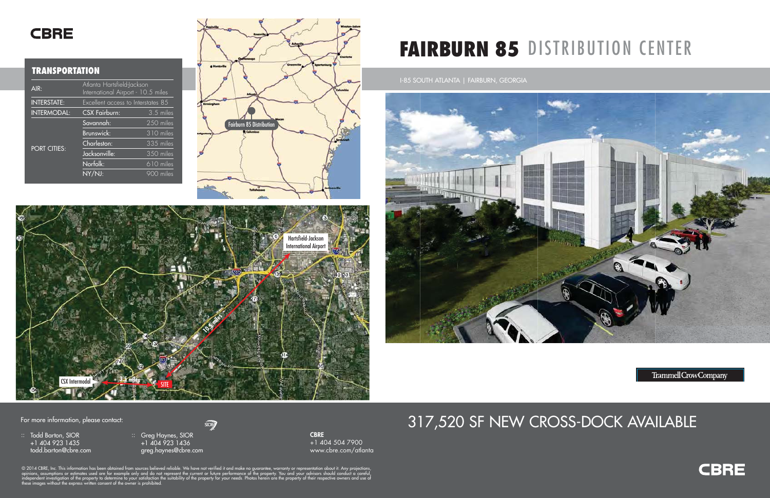I-85 SOUTH ATLANTA | FAIRBURN, GEORGIA



## 317,520 SF NEW CROSS-DOCK AVAILABLE

© 2014 CBRE, Inc. This information has been obtained from sources believed reliable. We have not verified it and make no guarantee, warranty or representation about it. Any projections opinions, assumptions or estimates us

 $\widehat{\text{SOR}}$ 

Trammell Crow Company



# **FAIRBURN 85** DISTRIBUTION CENTER

For more information, please contact:

:: Greg Haynes, SIOR +1 404 923 1436 greg.haynes@cbre.com

:: Todd Barton, SIOR +1 404 923 1435 todd.barton@cbre.com

| AlR:                | Atlanta Hartsfield-Jackson<br>International Airport - 10.5 miles |                        |
|---------------------|------------------------------------------------------------------|------------------------|
| <b>INTERSTATE:</b>  | Excellent access to Interstates 85                               |                        |
| <b>INTERMODAL:</b>  | <b>CSX Fairburn:</b>                                             | $\overline{3.5}$ miles |
| <b>PORT CITIES:</b> | Savannah:                                                        | 250 miles              |
|                     | <b>Brunswick:</b>                                                | 310 miles              |
|                     | Charleston:                                                      | $\overline{335}$ miles |
|                     | Jacksonville:                                                    | $350$ miles            |
|                     | Norfolk:                                                         | 610 miles              |
|                     | NY/NJ:                                                           | $\overline{900}$ miles |
|                     |                                                                  |                        |

### **CBRE**

#### **TRANSPORTATION**

**CBRE**+1 404 504 7900 www.cbre.com/atlanta